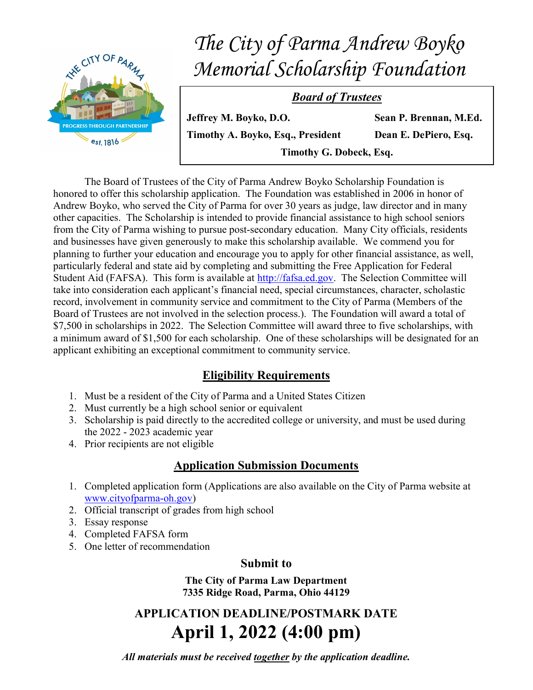

 The Board of Trustees of the City of Parma Andrew Boyko Scholarship Foundation is honored to offer this scholarship application. The Foundation was established in 2006 in honor of Andrew Boyko, who served the City of Parma for over 30 years as judge, law director and in many other capacities. The Scholarship is intended to provide financial assistance to high school seniors from the City of Parma wishing to pursue post-secondary education. Many City officials, residents and businesses have given generously to make this scholarship available. We commend you for planning to further your education and encourage you to apply for other financial assistance, as well, particularly federal and state aid by completing and submitting the Free Application for Federal Student Aid (FAFSA). This form is available at http://fafsa.ed.gov. The Selection Committee will take into consideration each applicant's financial need, special circumstances, character, scholastic record, involvement in community service and commitment to the City of Parma (Members of the Board of Trustees are not involved in the selection process.). The Foundation will award a total of \$7,500 in scholarships in 2022. The Selection Committee will award three to five scholarships, with a minimum award of \$1,500 for each scholarship. One of these scholarships will be designated for an applicant exhibiting an exceptional commitment to community service.

## Eligibility Requirements

- 1. Must be a resident of the City of Parma and a United States Citizen
- 2. Must currently be a high school senior or equivalent
- 3. Scholarship is paid directly to the accredited college or university, and must be used during the 2022 - 2023 academic year
- 4. Prior recipients are not eligible

## Application Submission Documents

- 1. Completed application form (Applications are also available on the City of Parma website at www.cityofparma-oh.gov)
- 2. Official transcript of grades from high school
- 3. Essay response
- 4. Completed FAFSA form
- 5. One letter of recommendation

### Submit to

The City of Parma Law Department 7335 Ridge Road, Parma, Ohio 44129

APPLICATION DEADLINE/POSTMARK DATE April 1, 2022 (4:00 pm)

All materials must be received together by the application deadline.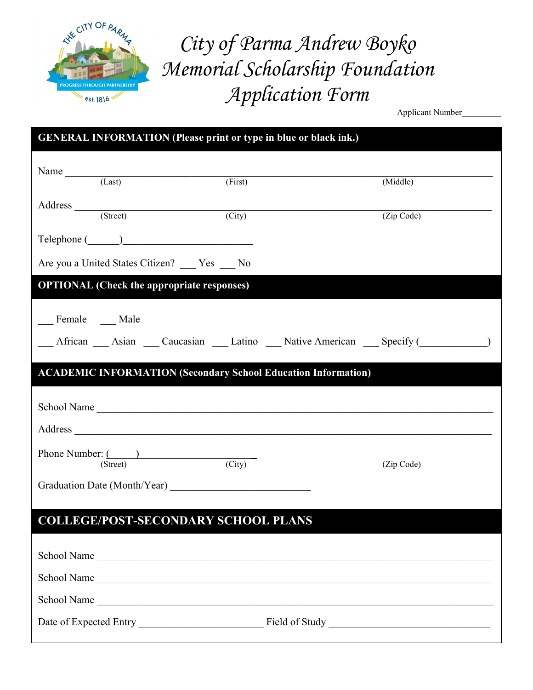

City of Parma Andrew Boyko Memorial Scholarship Foundation Application Form

Applicant Number\_\_\_\_\_\_\_\_\_

| <b>GENERAL INFORMATION (Please print or type in blue or black ink.)</b>           |         |            |  |  |
|-----------------------------------------------------------------------------------|---------|------------|--|--|
|                                                                                   |         |            |  |  |
| Name $\frac{1}{(Last)}$                                                           | (First) | (Middle)   |  |  |
| Address (Street)                                                                  |         |            |  |  |
|                                                                                   | (City)  | (Zip Code) |  |  |
|                                                                                   |         |            |  |  |
| Are you a United States Citizen? ___ Yes __ No                                    |         |            |  |  |
| <b>OPTIONAL</b> (Check the appropriate responses)                                 |         |            |  |  |
|                                                                                   |         |            |  |  |
| Female __ Male                                                                    |         |            |  |  |
| __ African __ Asian __ Caucasian __ Latino __ Native American __ Specify (_______ |         |            |  |  |
| <b>ACADEMIC INFORMATION (Secondary School Education Information)</b>              |         |            |  |  |
|                                                                                   |         |            |  |  |
|                                                                                   |         |            |  |  |
|                                                                                   |         |            |  |  |
| Phone Number: ( )                                                                 |         |            |  |  |
| (Street)                                                                          | (City)  | (Zip Code) |  |  |
|                                                                                   |         |            |  |  |
| <b>COLLEGE/POST-SECONDARY SCHOOL PLANS</b>                                        |         |            |  |  |
|                                                                                   |         |            |  |  |
| School Name                                                                       |         |            |  |  |
| School Name                                                                       |         |            |  |  |
| School Name                                                                       |         |            |  |  |
|                                                                                   |         |            |  |  |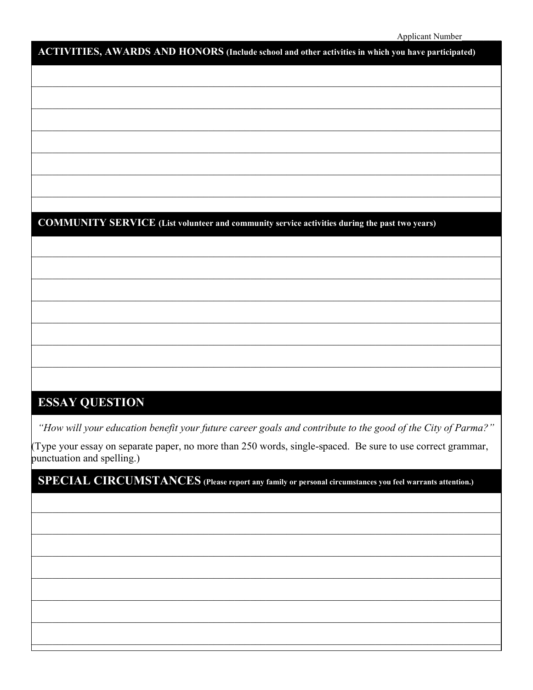# ACTIVITIES, AWARDS AND HONORS (Include school and other activities in which you have participated)

## **COMMUNITY SERVICE** (List volunteer and community service activities during the past two years)

# **ESSAY QUESTION**

"How will your education benefit your future career goals and contribute to the good of the City of Parma?"

(Type your essay on separate paper, no more than 250 words, single-spaced. Be sure to use correct grammar, punctuation and spelling.)

SPECIAL CIRCUMSTANCES (Please report any family or personal circumstances you feel warrants attention.)